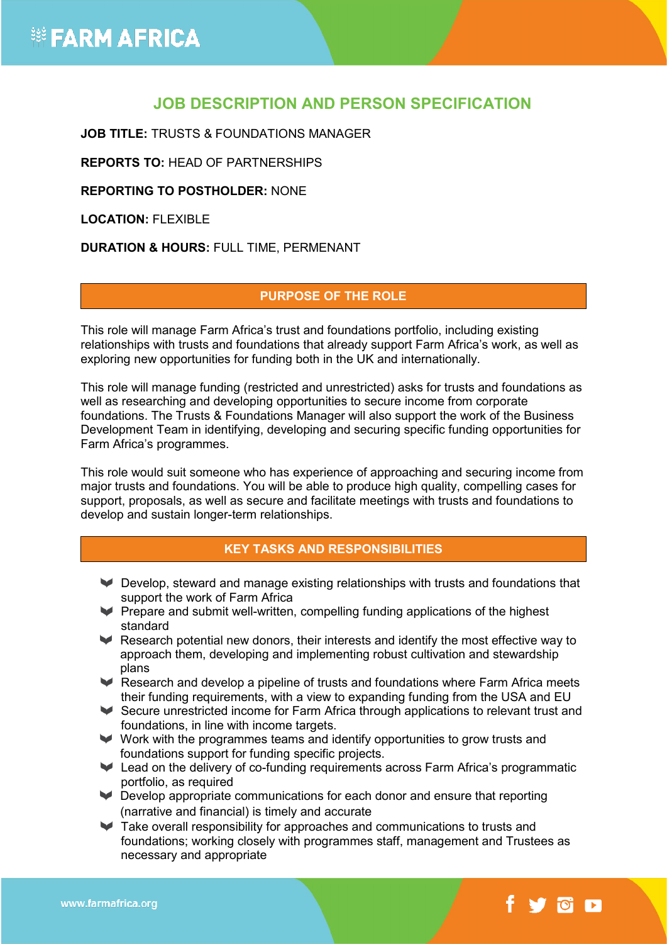### **JOB DESCRIPTION AND PERSON SPECIFICATION**

**JOB TITLE:** TRUSTS & FOUNDATIONS MANAGER

**REPORTS TO:** HEAD OF PARTNERSHIPS

**REPORTING TO POSTHOLDER:** NONE

**LOCATION:** FLEXIBLE

**DURATION & HOURS:** FULL TIME, PERMENANT

### **PURPOSE OF THE ROLE**

This role will manage Farm Africa's trust and foundations portfolio, including existing relationships with trusts and foundations that already support Farm Africa's work, as well as exploring new opportunities for funding both in the UK and internationally.

This role will manage funding (restricted and unrestricted) asks for trusts and foundations as well as researching and developing opportunities to secure income from corporate foundations. The Trusts & Foundations Manager will also support the work of the Business Development Team in identifying, developing and securing specific funding opportunities for Farm Africa's programmes.

This role would suit someone who has experience of approaching and securing income from major trusts and foundations. You will be able to produce high quality, compelling cases for support, proposals, as well as secure and facilitate meetings with trusts and foundations to develop and sustain longer-term relationships.

### **KEY TASKS AND RESPONSIBILITIES**

- Develop, steward and manage existing relationships with trusts and foundations that support the work of Farm Africa
- $\blacktriangleright$  Prepare and submit well-written, compelling funding applications of the highest standard
- Research potential new donors, their interests and identify the most effective way to approach them, developing and implementing robust cultivation and stewardship plans
- Research and develop a pipeline of trusts and foundations where Farm Africa meets their funding requirements, with a view to expanding funding from the USA and EU
- Secure unrestricted income for Farm Africa through applications to relevant trust and foundations, in line with income targets.
- Work with the programmes teams and identify opportunities to grow trusts and foundations support for funding specific projects.
- Lead on the delivery of co-funding requirements across Farm Africa's programmatic portfolio, as required
- Develop appropriate communications for each donor and ensure that reporting (narrative and financial) is timely and accurate
- Take overall responsibility for approaches and communications to trusts and foundations; working closely with programmes staff, management and Trustees as necessary and appropriate

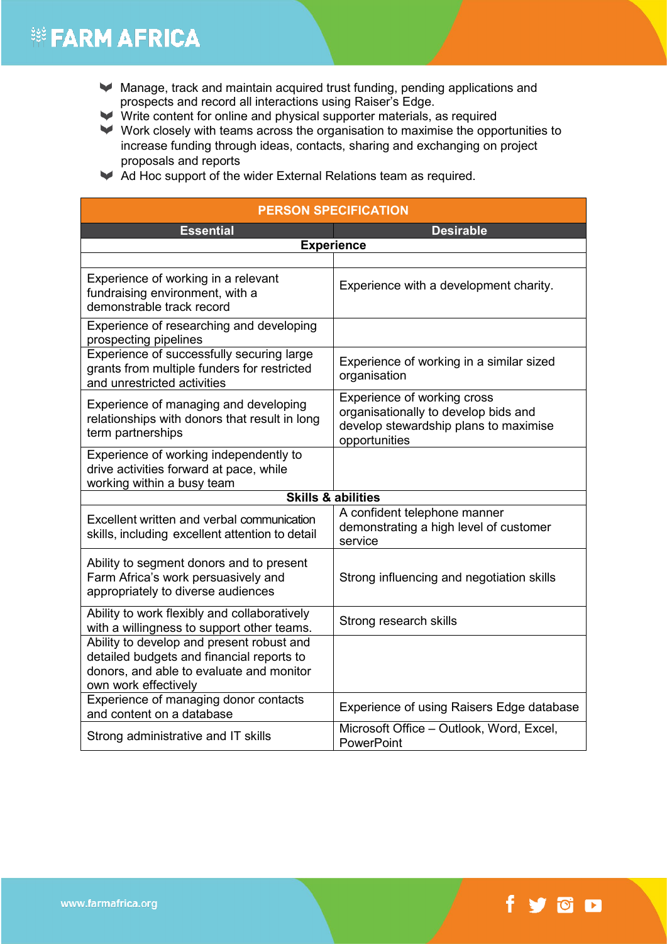## **※ FARM AFRICA**

- Manage, track and maintain acquired trust funding, pending applications and prospects and record all interactions using Raiser's Edge.
- $\blacktriangleright$  Write content for online and physical supporter materials, as required
- $\blacktriangleright$  Work closely with teams across the organisation to maximise the opportunities to increase funding through ideas, contacts, sharing and exchanging on project proposals and reports
- Ad Hoc support of the wider External Relations team as required.

| <b>PERSON SPECIFICATION</b>                                                                                                                                |                                                                                                                               |
|------------------------------------------------------------------------------------------------------------------------------------------------------------|-------------------------------------------------------------------------------------------------------------------------------|
| <b>Essential</b>                                                                                                                                           | <b>Desirable</b>                                                                                                              |
| <b>Experience</b>                                                                                                                                          |                                                                                                                               |
|                                                                                                                                                            |                                                                                                                               |
| Experience of working in a relevant<br>fundraising environment, with a<br>demonstrable track record                                                        | Experience with a development charity.                                                                                        |
| Experience of researching and developing<br>prospecting pipelines                                                                                          |                                                                                                                               |
| Experience of successfully securing large<br>grants from multiple funders for restricted<br>and unrestricted activities                                    | Experience of working in a similar sized<br>organisation                                                                      |
| Experience of managing and developing<br>relationships with donors that result in long<br>term partnerships                                                | Experience of working cross<br>organisationally to develop bids and<br>develop stewardship plans to maximise<br>opportunities |
| Experience of working independently to<br>drive activities forward at pace, while<br>working within a busy team                                            |                                                                                                                               |
| <b>Skills &amp; abilities</b>                                                                                                                              |                                                                                                                               |
| Excellent written and verbal communication<br>skills, including excellent attention to detail                                                              | A confident telephone manner<br>demonstrating a high level of customer<br>service                                             |
| Ability to segment donors and to present<br>Farm Africa's work persuasively and<br>appropriately to diverse audiences                                      | Strong influencing and negotiation skills                                                                                     |
| Ability to work flexibly and collaboratively<br>with a willingness to support other teams.                                                                 | Strong research skills                                                                                                        |
| Ability to develop and present robust and<br>detailed budgets and financial reports to<br>donors, and able to evaluate and monitor<br>own work effectively |                                                                                                                               |
| Experience of managing donor contacts<br>and content on a database                                                                                         | Experience of using Raisers Edge database                                                                                     |
| Strong administrative and IT skills                                                                                                                        | Microsoft Office - Outlook, Word, Excel,<br>PowerPoint                                                                        |

# fyon